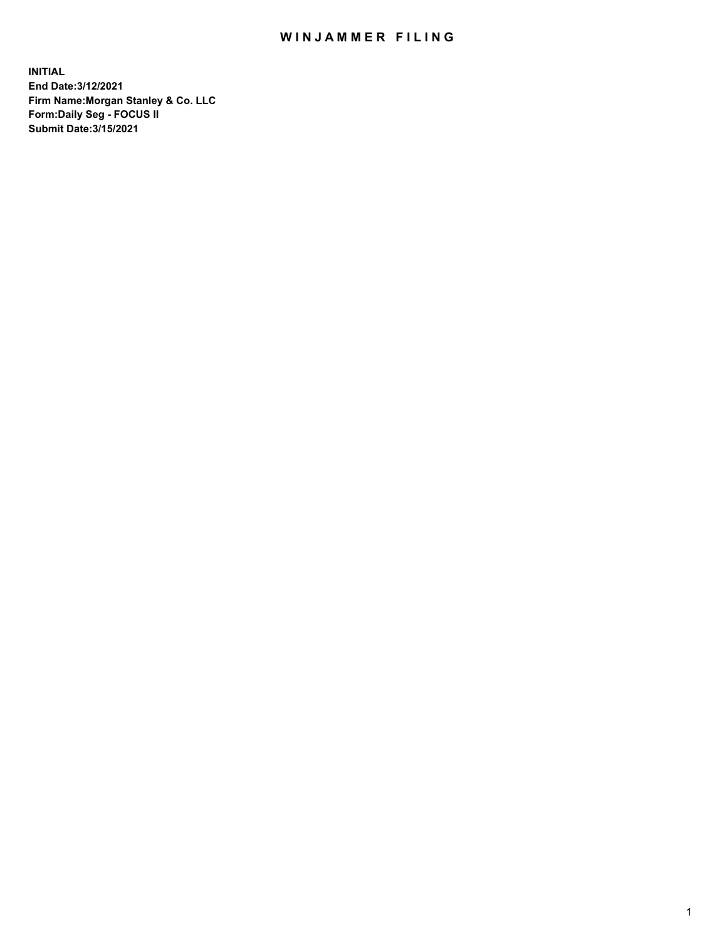## WIN JAMMER FILING

**INITIAL End Date:3/12/2021 Firm Name:Morgan Stanley & Co. LLC Form:Daily Seg - FOCUS II Submit Date:3/15/2021**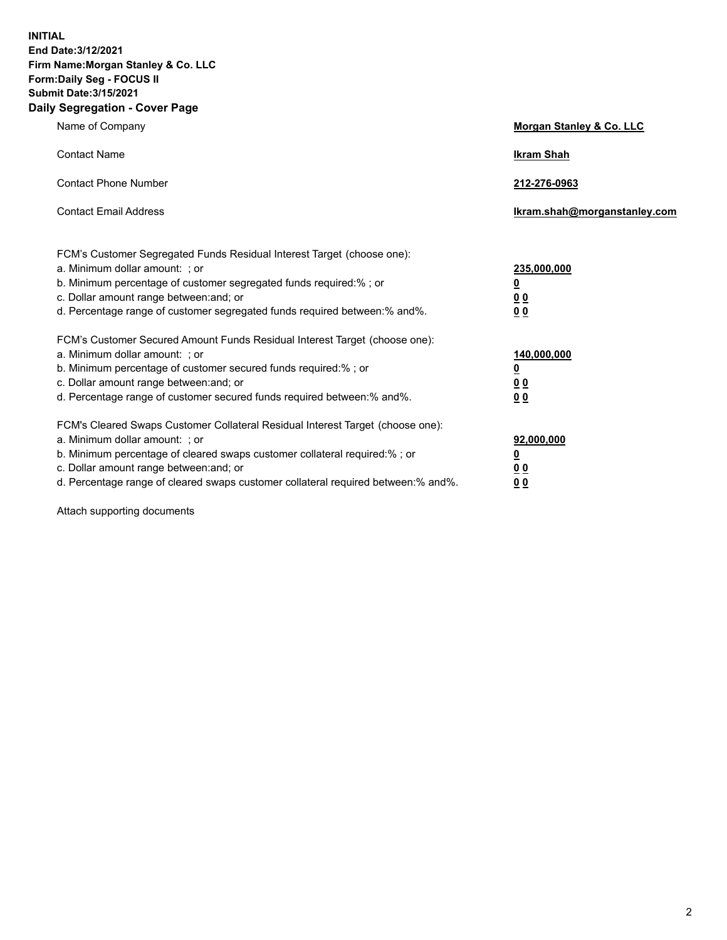**INITIAL End Date:3/12/2021 Firm Name:Morgan Stanley & Co. LLC Form:Daily Seg - FOCUS II Submit Date:3/15/2021 Daily Segregation - Cover Page**

| Name of Company                                                                                          | Morgan Stanley & Co. LLC     |
|----------------------------------------------------------------------------------------------------------|------------------------------|
| <b>Contact Name</b>                                                                                      | <b>Ikram Shah</b>            |
| <b>Contact Phone Number</b>                                                                              | 212-276-0963                 |
| <b>Contact Email Address</b>                                                                             | Ikram.shah@morganstanley.com |
|                                                                                                          |                              |
| FCM's Customer Segregated Funds Residual Interest Target (choose one):<br>a. Minimum dollar amount: ; or | 235,000,000                  |
| b. Minimum percentage of customer segregated funds required:% ; or                                       | <u>0</u>                     |
| c. Dollar amount range between: and; or                                                                  | <u>00</u>                    |
| d. Percentage range of customer segregated funds required between: % and %.                              | 0 <sup>0</sup>               |
| FCM's Customer Secured Amount Funds Residual Interest Target (choose one):                               |                              |
| a. Minimum dollar amount: ; or                                                                           | 140,000,000                  |
| b. Minimum percentage of customer secured funds required:%; or                                           | <u>0</u>                     |
| c. Dollar amount range between: and; or                                                                  | <u>0 0</u>                   |
| d. Percentage range of customer secured funds required between:% and%.                                   | 0 Q                          |
| FCM's Cleared Swaps Customer Collateral Residual Interest Target (choose one):                           |                              |
| a. Minimum dollar amount: ; or                                                                           | 92,000,000                   |
| b. Minimum percentage of cleared swaps customer collateral required:% ; or                               | <u>0</u>                     |
| c. Dollar amount range between: and; or                                                                  | 0 Q                          |
| d. Percentage range of cleared swaps customer collateral required between:% and%.                        | 0 <sub>0</sub>               |

Attach supporting documents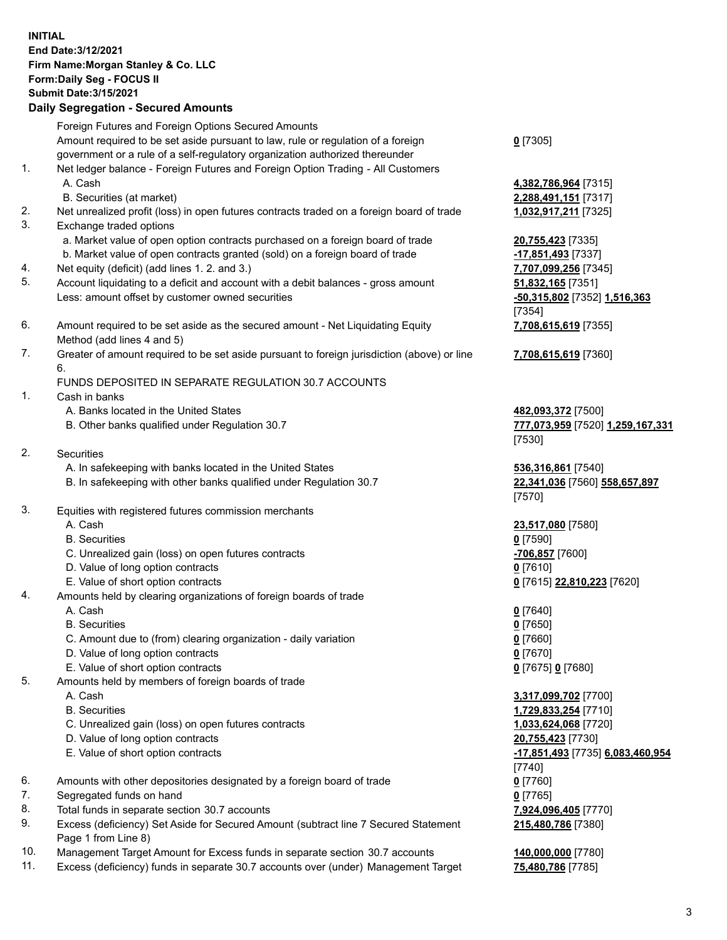## **INITIAL End Date:3/12/2021 Firm Name:Morgan Stanley & Co. LLC Form:Daily Seg - FOCUS II Submit Date:3/15/2021**

**Daily Segregation - Secured Amounts** Foreign Futures and Foreign Options Secured Amounts Amount required to be set aside pursuant to law, rule or regulation of a foreign government or a rule of a self-regulatory organization authorized thereunder 1. Net ledger balance - Foreign Futures and Foreign Option Trading - All Customers A. Cash **4,382,786,964** [7315] B. Securities (at market) **2,288,491,151** [7317] 2. Net unrealized profit (loss) in open futures contracts traded on a foreign board of trade **1,032,917,211** [7325] 3. Exchange traded options a. Market value of open option contracts purchased on a foreign board of trade **20,755,423** [7335] b. Market value of open contracts granted (sold) on a foreign board of trade **-17,851,493** [7337] 4. Net equity (deficit) (add lines 1. 2. and 3.) **7,707,099,256** [7345] 5. Account liquidating to a deficit and account with a debit balances - gross amount **51,832,165** [7351] Less: amount offset by customer owned securities **-50,315,802** [7352] **1,516,363** 6. Amount required to be set aside as the secured amount - Net Liquidating Equity Method (add lines 4 and 5) 7. Greater of amount required to be set aside pursuant to foreign jurisdiction (above) or line 6. FUNDS DEPOSITED IN SEPARATE REGULATION 30.7 ACCOUNTS 1. Cash in banks A. Banks located in the United States **482,093,372** [7500] B. Other banks qualified under Regulation 30.7 **777,073,959** [7520] **1,259,167,331** 2. Securities A. In safekeeping with banks located in the United States **536,316,861** [7540] B. In safekeeping with other banks qualified under Regulation 30.7 **22,341,036** [7560] **558,657,897** 3. Equities with registered futures commission merchants A. Cash **23,517,080** [7580] B. Securities **0** [7590] C. Unrealized gain (loss) on open futures contracts **-706,857** [7600] D. Value of long option contracts **0** [7610] E. Value of short option contracts **0** [7615] **22,810,223** [7620] 4. Amounts held by clearing organizations of foreign boards of trade A. Cash **0** [7640] B. Securities **0** [7650] C. Amount due to (from) clearing organization - daily variation **0** [7660] D. Value of long option contracts **0** [7670] E. Value of short option contracts **0** [7675] **0** [7680] 5. Amounts held by members of foreign boards of trade A. Cash **3,317,099,702** [7700] B. Securities **1,729,833,254** [7710] C. Unrealized gain (loss) on open futures contracts **1,033,624,068** [7720] D. Value of long option contracts **20,755,423** [7730] E. Value of short option contracts **-17,851,493** [7735] **6,083,460,954** 6. Amounts with other depositories designated by a foreign board of trade **0** [7760] 7. Segregated funds on hand **0** [7765]

- 8. Total funds in separate section 30.7 accounts **7,924,096,405** [7770]
- 9. Excess (deficiency) Set Aside for Secured Amount (subtract line 7 Secured Statement Page 1 from Line 8)
- 10. Management Target Amount for Excess funds in separate section 30.7 accounts **140,000,000** [7780]
- 11. Excess (deficiency) funds in separate 30.7 accounts over (under) Management Target **75,480,786** [7785]

**0** [7305]

[7354] **7,708,615,619** [7355]

**7,708,615,619** [7360]

[7530]

[7570]

[7740] **215,480,786** [7380]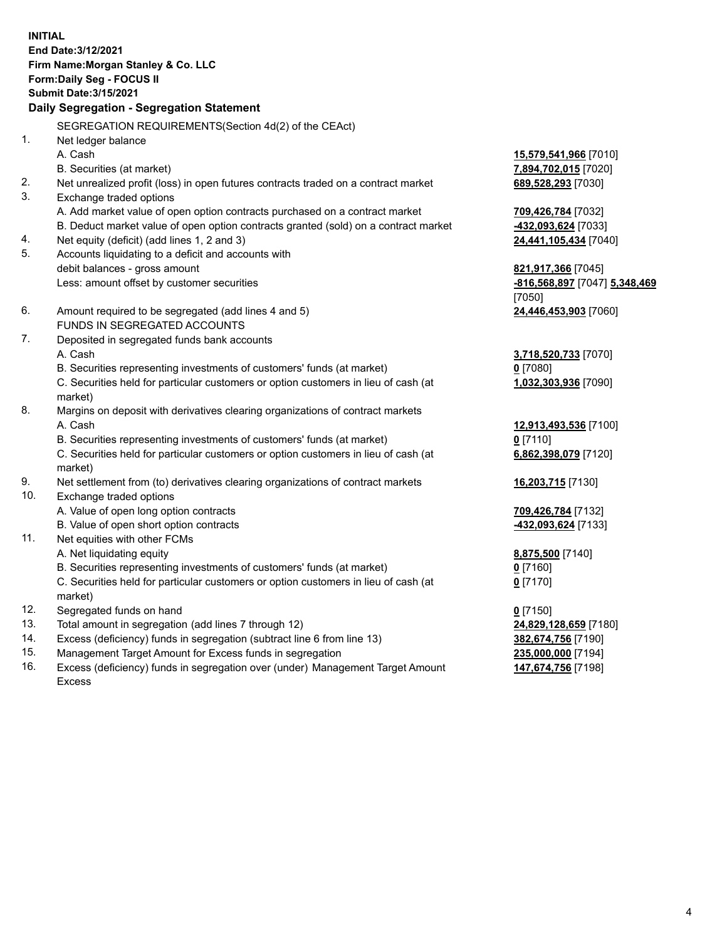**INITIAL End Date:3/12/2021 Firm Name:Morgan Stanley & Co. LLC Form:Daily Seg - FOCUS II Submit Date:3/15/2021 Daily Segregation - Segregation Statement** SEGREGATION REQUIREMENTS(Section 4d(2) of the CEAct) 1. Net ledger balance A. Cash **15,579,541,966** [7010] B. Securities (at market) **7,894,702,015** [7020] 2. Net unrealized profit (loss) in open futures contracts traded on a contract market **689,528,293** [7030] 3. Exchange traded options A. Add market value of open option contracts purchased on a contract market **709,426,784** [7032] B. Deduct market value of open option contracts granted (sold) on a contract market **-432,093,624** [7033] 4. Net equity (deficit) (add lines 1, 2 and 3) **24,441,105,434** [7040] 5. Accounts liquidating to a deficit and accounts with debit balances - gross amount **821,917,366** [7045] Less: amount offset by customer securities **-816,568,897** [7047] **5,348,469** [7050] 6. Amount required to be segregated (add lines 4 and 5) **24,446,453,903** [7060] FUNDS IN SEGREGATED ACCOUNTS 7. Deposited in segregated funds bank accounts A. Cash **3,718,520,733** [7070] B. Securities representing investments of customers' funds (at market) **0** [7080] C. Securities held for particular customers or option customers in lieu of cash (at market) **1,032,303,936** [7090] 8. Margins on deposit with derivatives clearing organizations of contract markets A. Cash **12,913,493,536** [7100] B. Securities representing investments of customers' funds (at market) **0** [7110] C. Securities held for particular customers or option customers in lieu of cash (at market) **6,862,398,079** [7120] 9. Net settlement from (to) derivatives clearing organizations of contract markets **16,203,715** [7130] 10. Exchange traded options A. Value of open long option contracts **709,426,784** [7132] B. Value of open short option contracts **-432,093,624** [7133] 11. Net equities with other FCMs A. Net liquidating equity **8,875,500** [7140] B. Securities representing investments of customers' funds (at market) **0** [7160] C. Securities held for particular customers or option customers in lieu of cash (at market) **0** [7170] 12. Segregated funds on hand **0** [7150] 13. Total amount in segregation (add lines 7 through 12) **24,829,128,659** [7180] 14. Excess (deficiency) funds in segregation (subtract line 6 from line 13) **382,674,756** [7190] 15. Management Target Amount for Excess funds in segregation **235,000,000** [7194]

16. Excess (deficiency) funds in segregation over (under) Management Target Amount Excess

**147,674,756** [7198]